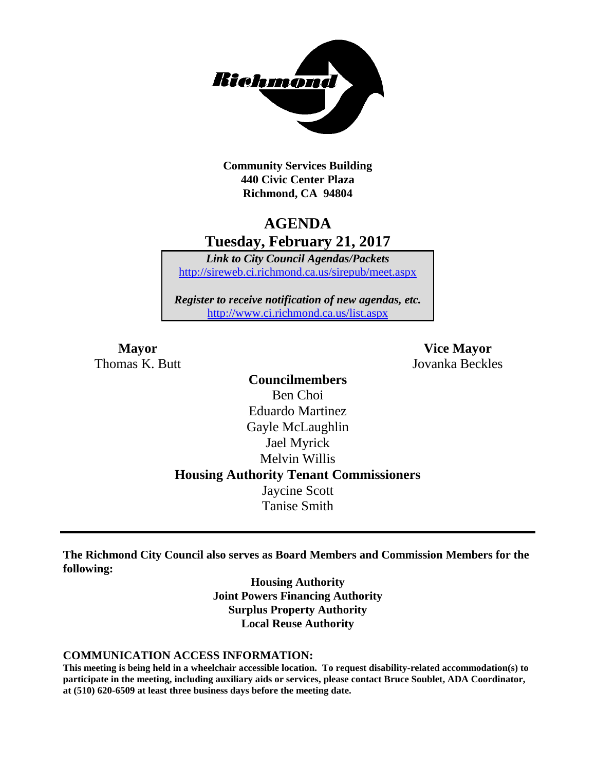

**Community Services Building 440 Civic Center Plaza Richmond, CA 94804**

### **AGENDA Tuesday, February 21, 2017**

*Link to City Council Agendas/Packets* <http://sireweb.ci.richmond.ca.us/sirepub/meet.aspx>

*Register to receive notification of new agendas, etc.* <http://www.ci.richmond.ca.us/list.aspx>

Thomas K. Butt Jovanka Beckles

**Mayor Vice Mayor**

**Councilmembers** Ben Choi Eduardo Martinez Gayle McLaughlin Jael Myrick Melvin Willis **Housing Authority Tenant Commissioners** Jaycine Scott Tanise Smith

**The Richmond City Council also serves as Board Members and Commission Members for the following:**

> **Housing Authority Joint Powers Financing Authority Surplus Property Authority Local Reuse Authority**

#### **COMMUNICATION ACCESS INFORMATION:**

**This meeting is being held in a wheelchair accessible location. To request disability-related accommodation(s) to participate in the meeting, including auxiliary aids or services, please contact Bruce Soublet, ADA Coordinator, at (510) 620-6509 at least three business days before the meeting date.**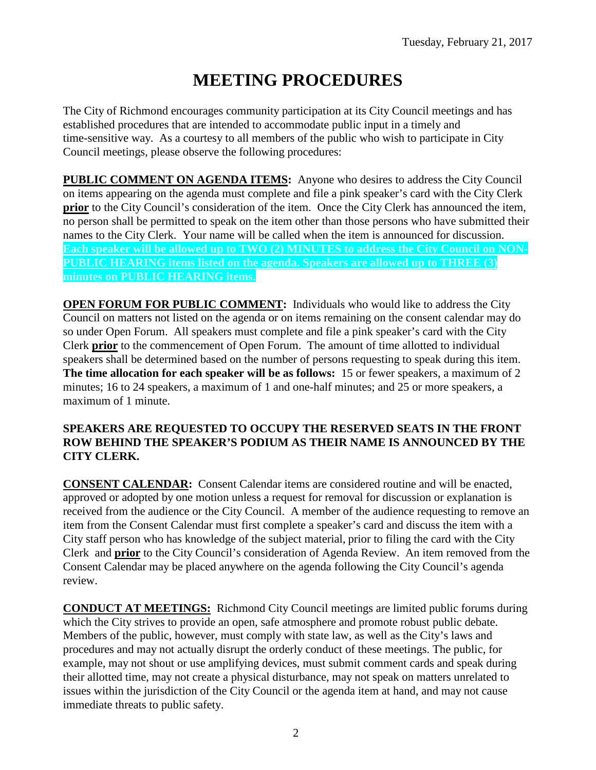# **MEETING PROCEDURES**

The City of Richmond encourages community participation at its City Council meetings and has established procedures that are intended to accommodate public input in a timely and time-sensitive way. As a courtesy to all members of the public who wish to participate in City Council meetings, please observe the following procedures:

**PUBLIC COMMENT ON AGENDA ITEMS:** Anyone who desires to address the City Council on items appearing on the agenda must complete and file a pink speaker's card with the City Clerk **prior** to the City Council's consideration of the item. Once the City Clerk has announced the item, no person shall be permitted to speak on the item other than those persons who have submitted their names to the City Clerk. Your name will be called when the item is announced for discussion. **Each speaker will be allowed up to TWO (2) MINUTES to address the City Council on NON-PUBLIC HEARING items listed on the agenda. Speakers are allowed up to THREE (3) minutes on PUBLIC HEARING items.**

**OPEN FORUM FOR PUBLIC COMMENT:** Individuals who would like to address the City Council on matters not listed on the agenda or on items remaining on the consent calendar may do so under Open Forum. All speakers must complete and file a pink speaker's card with the City Clerk **prior** to the commencement of Open Forum. The amount of time allotted to individual speakers shall be determined based on the number of persons requesting to speak during this item. **The time allocation for each speaker will be as follows:** 15 or fewer speakers, a maximum of 2 minutes; 16 to 24 speakers, a maximum of 1 and one-half minutes; and 25 or more speakers, a maximum of 1 minute.

### **SPEAKERS ARE REQUESTED TO OCCUPY THE RESERVED SEATS IN THE FRONT ROW BEHIND THE SPEAKER'S PODIUM AS THEIR NAME IS ANNOUNCED BY THE CITY CLERK.**

**CONSENT CALENDAR:** Consent Calendar items are considered routine and will be enacted, approved or adopted by one motion unless a request for removal for discussion or explanation is received from the audience or the City Council. A member of the audience requesting to remove an item from the Consent Calendar must first complete a speaker's card and discuss the item with a City staff person who has knowledge of the subject material, prior to filing the card with the City Clerk and **prior** to the City Council's consideration of Agenda Review. An item removed from the Consent Calendar may be placed anywhere on the agenda following the City Council's agenda review.

**CONDUCT AT MEETINGS:** Richmond City Council meetings are limited public forums during which the City strives to provide an open, safe atmosphere and promote robust public debate. Members of the public, however, must comply with state law, as well as the City's laws and procedures and may not actually disrupt the orderly conduct of these meetings. The public, for example, may not shout or use amplifying devices, must submit comment cards and speak during their allotted time, may not create a physical disturbance, may not speak on matters unrelated to issues within the jurisdiction of the City Council or the agenda item at hand, and may not cause immediate threats to public safety.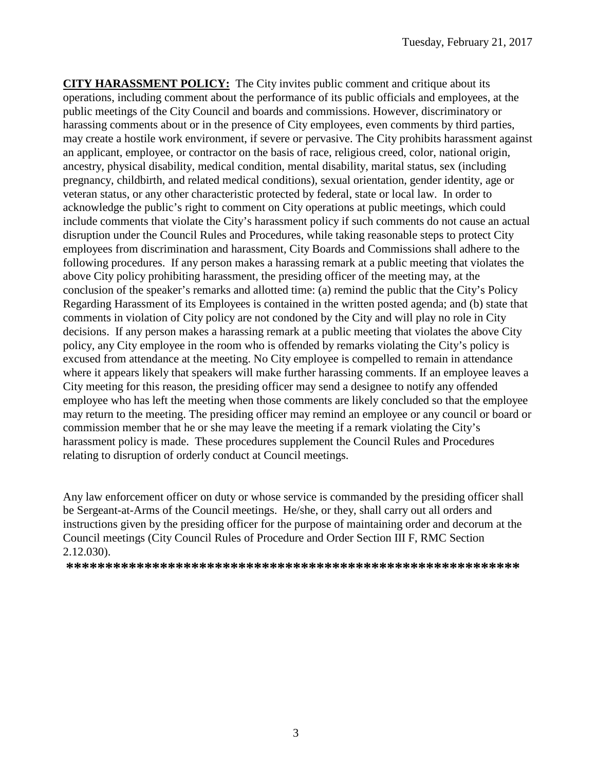**CITY HARASSMENT POLICY:** The City invites public comment and critique about its operations, including comment about the performance of its public officials and employees, at the public meetings of the City Council and boards and commissions. However, discriminatory or harassing comments about or in the presence of City employees, even comments by third parties, may create a hostile work environment, if severe or pervasive. The City prohibits harassment against an applicant, employee, or contractor on the basis of race, religious creed, color, national origin, ancestry, physical disability, medical condition, mental disability, marital status, sex (including pregnancy, childbirth, and related medical conditions), sexual orientation, gender identity, age or veteran status, or any other characteristic protected by federal, state or local law. In order to acknowledge the public's right to comment on City operations at public meetings, which could include comments that violate the City's harassment policy if such comments do not cause an actual disruption under the Council Rules and Procedures, while taking reasonable steps to protect City employees from discrimination and harassment, City Boards and Commissions shall adhere to the following procedures. If any person makes a harassing remark at a public meeting that violates the above City policy prohibiting harassment, the presiding officer of the meeting may, at the conclusion of the speaker's remarks and allotted time: (a) remind the public that the City's Policy Regarding Harassment of its Employees is contained in the written posted agenda; and (b) state that comments in violation of City policy are not condoned by the City and will play no role in City decisions. If any person makes a harassing remark at a public meeting that violates the above City policy, any City employee in the room who is offended by remarks violating the City's policy is excused from attendance at the meeting. No City employee is compelled to remain in attendance where it appears likely that speakers will make further harassing comments. If an employee leaves a City meeting for this reason, the presiding officer may send a designee to notify any offended employee who has left the meeting when those comments are likely concluded so that the employee may return to the meeting. The presiding officer may remind an employee or any council or board or commission member that he or she may leave the meeting if a remark violating the City's harassment policy is made. These procedures supplement the Council Rules and Procedures relating to disruption of orderly conduct at Council meetings.

Any law enforcement officer on duty or whose service is commanded by the presiding officer shall be Sergeant-at-Arms of the Council meetings. He/she, or they, shall carry out all orders and instructions given by the presiding officer for the purpose of maintaining order and decorum at the Council meetings (City Council Rules of Procedure and Order Section III F, RMC Section 2.12.030).

**\*\*\*\*\*\*\*\*\*\*\*\*\*\*\*\*\*\*\*\*\*\*\*\*\*\*\*\*\*\*\*\*\*\*\*\*\*\*\*\*\*\*\*\*\*\*\*\*\*\*\*\*\*\*\*\*\*\***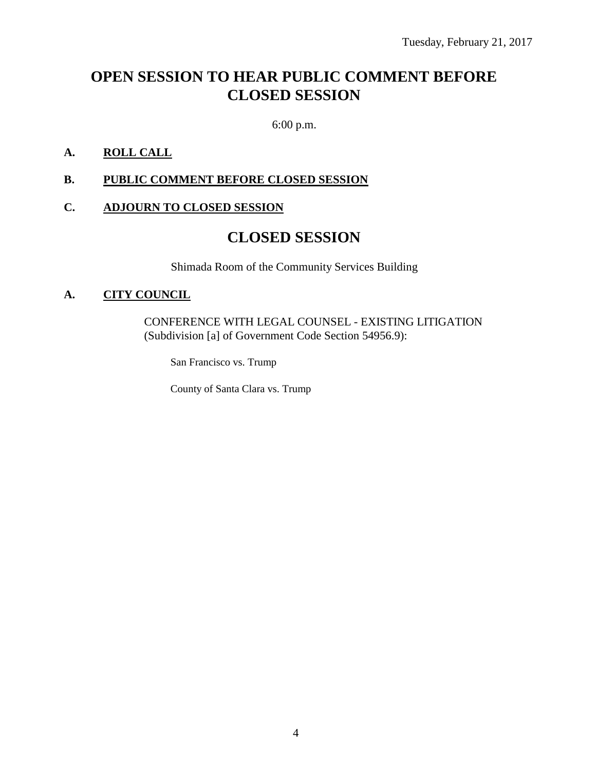## **OPEN SESSION TO HEAR PUBLIC COMMENT BEFORE CLOSED SESSION**

6:00 p.m.

### **A. ROLL CALL**

**B. PUBLIC COMMENT BEFORE CLOSED SESSION**

### **C. ADJOURN TO CLOSED SESSION**

### **CLOSED SESSION**

Shimada Room of the Community Services Building

### **A. CITY COUNCIL**

CONFERENCE WITH LEGAL COUNSEL - EXISTING LITIGATION (Subdivision [a] of Government Code Section 54956.9):

San Francisco vs. Trump

County of Santa Clara vs. Trump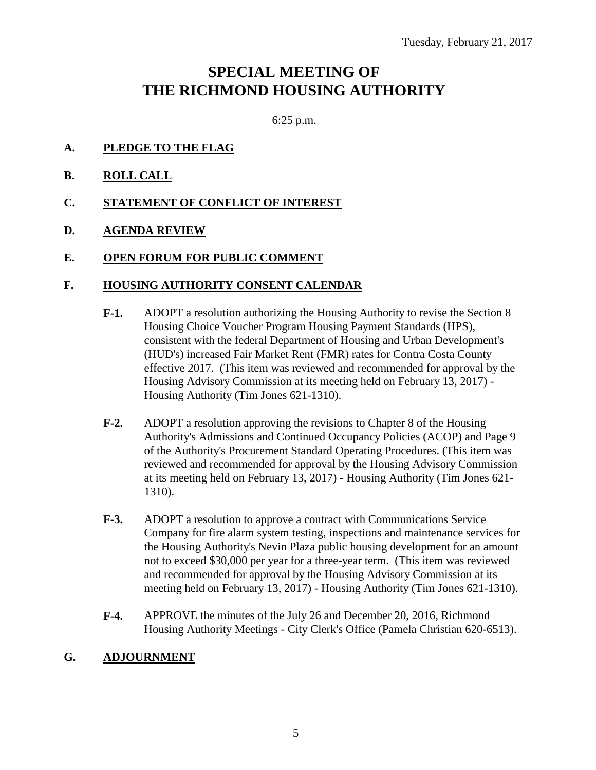## **SPECIAL MEETING OF THE RICHMOND HOUSING AUTHORITY**

6:25 p.m.

- **A. PLEDGE TO THE FLAG**
- **B. ROLL CALL**
- **C. STATEMENT OF CONFLICT OF INTEREST**
- **D. AGENDA REVIEW**
- **E. OPEN FORUM FOR PUBLIC COMMENT**

#### **F. HOUSING AUTHORITY CONSENT CALENDAR**

- **F-1.** ADOPT a resolution authorizing the Housing Authority to revise the Section 8 Housing Choice Voucher Program Housing Payment Standards (HPS), consistent with the federal Department of Housing and Urban Development's (HUD's) increased Fair Market Rent (FMR) rates for Contra Costa County effective 2017. (This item was reviewed and recommended for approval by the Housing Advisory Commission at its meeting held on February 13, 2017) - Housing Authority (Tim Jones 621-1310).
- **F-2.** ADOPT a resolution approving the revisions to Chapter 8 of the Housing Authority's Admissions and Continued Occupancy Policies (ACOP) and Page 9 of the Authority's Procurement Standard Operating Procedures. (This item was reviewed and recommended for approval by the Housing Advisory Commission at its meeting held on February 13, 2017) - Housing Authority (Tim Jones 621- 1310).
- **F-3.** ADOPT a resolution to approve a contract with Communications Service Company for fire alarm system testing, inspections and maintenance services for the Housing Authority's Nevin Plaza public housing development for an amount not to exceed \$30,000 per year for a three-year term. (This item was reviewed and recommended for approval by the Housing Advisory Commission at its meeting held on February 13, 2017) - Housing Authority (Tim Jones 621-1310).
- **F-4.** APPROVE the minutes of the July 26 and December 20, 2016, Richmond Housing Authority Meetings - City Clerk's Office (Pamela Christian 620-6513).

### **G. ADJOURNMENT**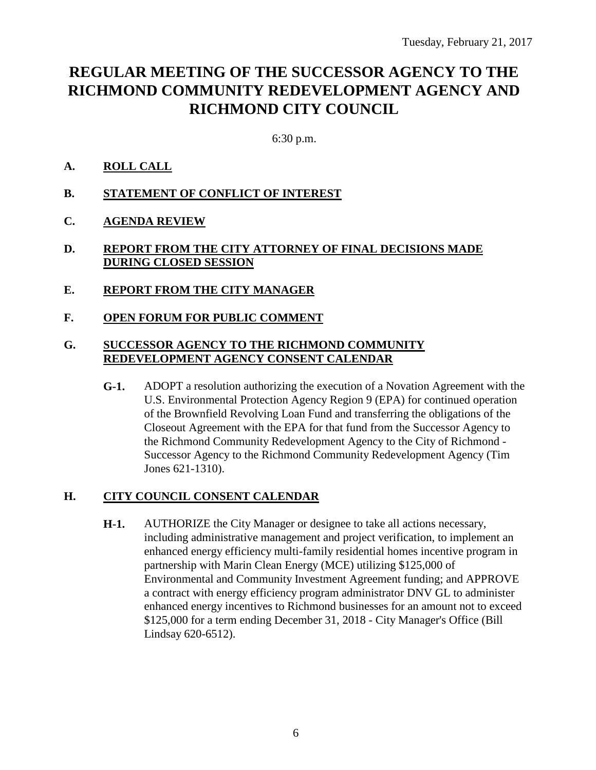## **REGULAR MEETING OF THE SUCCESSOR AGENCY TO THE RICHMOND COMMUNITY REDEVELOPMENT AGENCY AND RICHMOND CITY COUNCIL**

6:30 p.m.

### **A. ROLL CALL**

- **B. STATEMENT OF CONFLICT OF INTEREST**
- **C. AGENDA REVIEW**

### **D. REPORT FROM THE CITY ATTORNEY OF FINAL DECISIONS MADE DURING CLOSED SESSION**

- **E. REPORT FROM THE CITY MANAGER**
- **F. OPEN FORUM FOR PUBLIC COMMENT**

### **G. SUCCESSOR AGENCY TO THE RICHMOND COMMUNITY REDEVELOPMENT AGENCY CONSENT CALENDAR**

**G-1.** ADOPT a resolution authorizing the execution of a Novation Agreement with the U.S. Environmental Protection Agency Region 9 (EPA) for continued operation of the Brownfield Revolving Loan Fund and transferring the obligations of the Closeout Agreement with the EPA for that fund from the Successor Agency to the Richmond Community Redevelopment Agency to the City of Richmond - Successor Agency to the Richmond Community Redevelopment Agency (Tim Jones 621-1310).

### **H. CITY COUNCIL CONSENT CALENDAR**

**H-1.** AUTHORIZE the City Manager or designee to take all actions necessary, including administrative management and project verification, to implement an enhanced energy efficiency multi-family residential homes incentive program in partnership with Marin Clean Energy (MCE) utilizing \$125,000 of Environmental and Community Investment Agreement funding; and APPROVE a contract with energy efficiency program administrator DNV GL to administer enhanced energy incentives to Richmond businesses for an amount not to exceed \$125,000 for a term ending December 31, 2018 - City Manager's Office (Bill Lindsay 620-6512).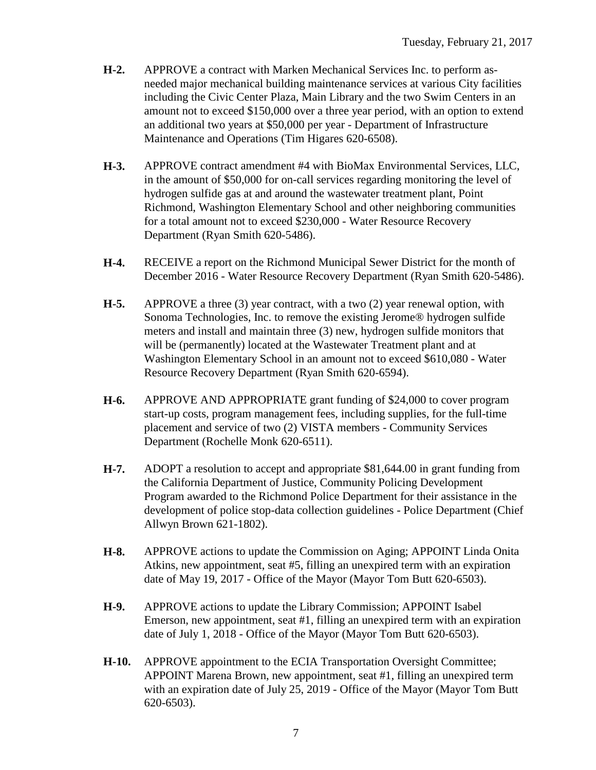- **H-2.** APPROVE a contract with Marken Mechanical Services Inc. to perform asneeded major mechanical building maintenance services at various City facilities including the Civic Center Plaza, Main Library and the two Swim Centers in an amount not to exceed \$150,000 over a three year period, with an option to extend an additional two years at \$50,000 per year - Department of Infrastructure Maintenance and Operations (Tim Higares 620-6508).
- **H-3.** APPROVE contract amendment #4 with BioMax Environmental Services, LLC, in the amount of \$50,000 for on-call services regarding monitoring the level of hydrogen sulfide gas at and around the wastewater treatment plant, Point Richmond, Washington Elementary School and other neighboring communities for a total amount not to exceed \$230,000 - Water Resource Recovery Department (Ryan Smith 620-5486).
- **H-4.** RECEIVE a report on the Richmond Municipal Sewer District for the month of December 2016 - Water Resource Recovery Department (Ryan Smith 620-5486).
- **H-5.** APPROVE a three (3) year contract, with a two (2) year renewal option, with Sonoma Technologies, Inc. to remove the existing Jerome® hydrogen sulfide meters and install and maintain three (3) new, hydrogen sulfide monitors that will be (permanently) located at the Wastewater Treatment plant and at Washington Elementary School in an amount not to exceed \$610,080 - Water Resource Recovery Department (Ryan Smith 620-6594).
- **H-6.** APPROVE AND APPROPRIATE grant funding of \$24,000 to cover program start-up costs, program management fees, including supplies, for the full-time placement and service of two (2) VISTA members - Community Services Department (Rochelle Monk 620-6511).
- **H-7.** ADOPT a resolution to accept and appropriate \$81,644.00 in grant funding from the California Department of Justice, Community Policing Development Program awarded to the Richmond Police Department for their assistance in the development of police stop-data collection guidelines - Police Department (Chief Allwyn Brown 621-1802).
- **H-8.** APPROVE actions to update the Commission on Aging; APPOINT Linda Onita Atkins, new appointment, seat #5, filling an unexpired term with an expiration date of May 19, 2017 - Office of the Mayor (Mayor Tom Butt 620-6503).
- **H-9.** APPROVE actions to update the Library Commission; APPOINT Isabel Emerson, new appointment, seat #1, filling an unexpired term with an expiration date of July 1, 2018 - Office of the Mayor (Mayor Tom Butt 620-6503).
- **H-10.** APPROVE appointment to the ECIA Transportation Oversight Committee; APPOINT Marena Brown, new appointment, seat #1, filling an unexpired term with an expiration date of July 25, 2019 - Office of the Mayor (Mayor Tom Butt 620-6503).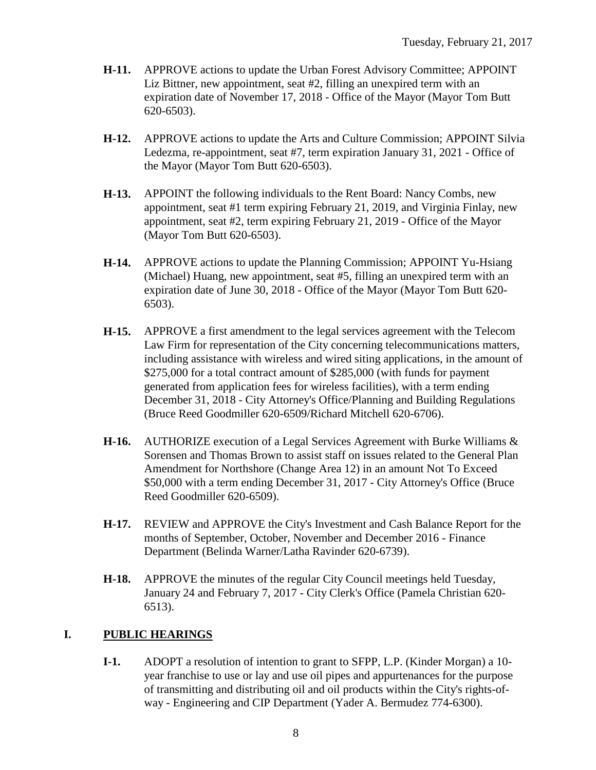- **H-11.** APPROVE actions to update the Urban Forest Advisory Committee; APPOINT Liz Bittner, new appointment, seat #2, filling an unexpired term with an expiration date of November 17, 2018 - Office of the Mayor (Mayor Tom Butt 620-6503).
- **H-12.** APPROVE actions to update the Arts and Culture Commission; APPOINT Silvia Ledezma, re-appointment, seat #7, term expiration January 31, 2021 - Office of the Mayor (Mayor Tom Butt 620-6503).
- **H-13.** APPOINT the following individuals to the Rent Board: Nancy Combs, new appointment, seat #1 term expiring February 21, 2019, and Virginia Finlay, new appointment, seat #2, term expiring February 21, 2019 - Office of the Mayor (Mayor Tom Butt 620-6503).
- **H-14.** APPROVE actions to update the Planning Commission; APPOINT Yu-Hsiang (Michael) Huang, new appointment, seat #5, filling an unexpired term with an expiration date of June 30, 2018 - Office of the Mayor (Mayor Tom Butt 620- 6503).
- **H-15.** APPROVE a first amendment to the legal services agreement with the Telecom Law Firm for representation of the City concerning telecommunications matters, including assistance with wireless and wired siting applications, in the amount of \$275,000 for a total contract amount of \$285,000 (with funds for payment generated from application fees for wireless facilities), with a term ending December 31, 2018 - City Attorney's Office/Planning and Building Regulations (Bruce Reed Goodmiller 620-6509/Richard Mitchell 620-6706).
- **H-16.** AUTHORIZE execution of a Legal Services Agreement with Burke Williams & Sorensen and Thomas Brown to assist staff on issues related to the General Plan Amendment for Northshore (Change Area 12) in an amount Not To Exceed \$50,000 with a term ending December 31, 2017 - City Attorney's Office (Bruce Reed Goodmiller 620-6509).
- **H-17.** REVIEW and APPROVE the City's Investment and Cash Balance Report for the months of September, October, November and December 2016 - Finance Department (Belinda Warner/Latha Ravinder 620-6739).
- **H-18.** APPROVE the minutes of the regular City Council meetings held Tuesday, January 24 and February 7, 2017 - City Clerk's Office (Pamela Christian 620- 6513).

### **I. PUBLIC HEARINGS**

**I-1.** ADOPT a resolution of intention to grant to SFPP, L.P. (Kinder Morgan) a 10 year franchise to use or lay and use oil pipes and appurtenances for the purpose of transmitting and distributing oil and oil products within the City's rights-ofway - Engineering and CIP Department (Yader A. Bermudez 774-6300).